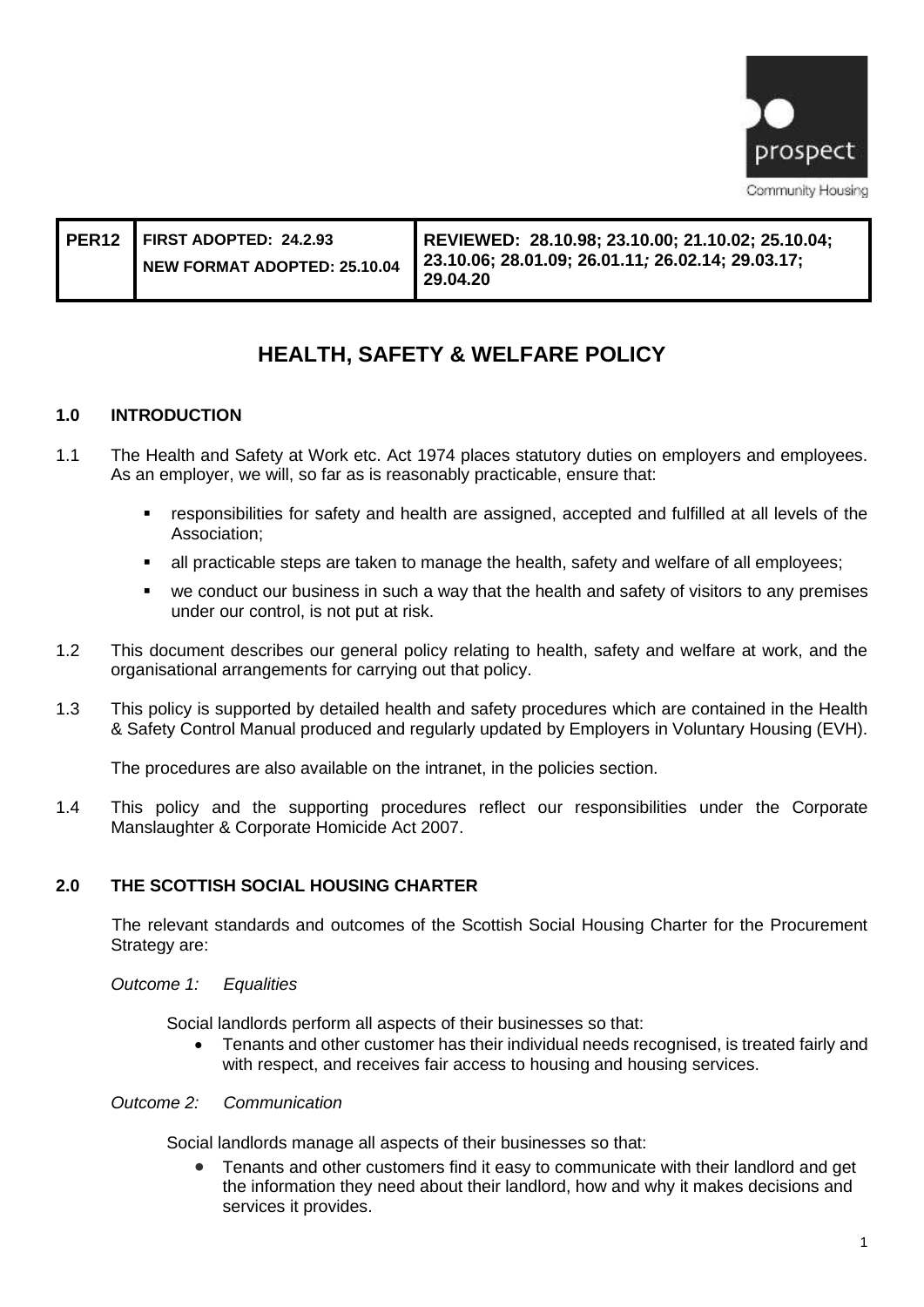

| PER12 FIRST ADOPTED: 24.2.93<br>NEW FORMAT ADOPTED: 25.10.04 | REVIEWED: 28.10.98; 23.10.00; 21.10.02; 25.10.04;<br>23.10.06; 28.01.09; 26.01.11; 26.02.14; 29.03.17;<br>29.04.20 |
|--------------------------------------------------------------|--------------------------------------------------------------------------------------------------------------------|
|--------------------------------------------------------------|--------------------------------------------------------------------------------------------------------------------|

# **HEALTH, SAFETY & WELFARE POLICY**

## **1.0 INTRODUCTION**

- 1.1 The Health and Safety at Work etc. Act 1974 places statutory duties on employers and employees. As an employer, we will, so far as is reasonably practicable, ensure that:
	- responsibilities for safety and health are assigned, accepted and fulfilled at all levels of the Association;
	- all practicable steps are taken to manage the health, safety and welfare of all employees;
	- we conduct our business in such a way that the health and safety of visitors to any premises under our control, is not put at risk.
- 1.2 This document describes our general policy relating to health, safety and welfare at work, and the organisational arrangements for carrying out that policy.
- 1.3 This policy is supported by detailed health and safety procedures which are contained in the Health & Safety Control Manual produced and regularly updated by Employers in Voluntary Housing (EVH).

The procedures are also available on the intranet, in the policies section.

1.4 This policy and the supporting procedures reflect our responsibilities under the Corporate Manslaughter & Corporate Homicide Act 2007.

## **2.0 THE SCOTTISH SOCIAL HOUSING CHARTER**

The relevant standards and outcomes of the Scottish Social Housing Charter for the Procurement Strategy are:

*Outcome 1: Equalities*

Social landlords perform all aspects of their businesses so that:

• Tenants and other customer has their individual needs recognised, is treated fairly and with respect, and receives fair access to housing and housing services.

## *Outcome 2: Communication*

Social landlords manage all aspects of their businesses so that:

• Tenants and other customers find it easy to communicate with their landlord and get the information they need about their landlord, how and why it makes decisions and services it provides.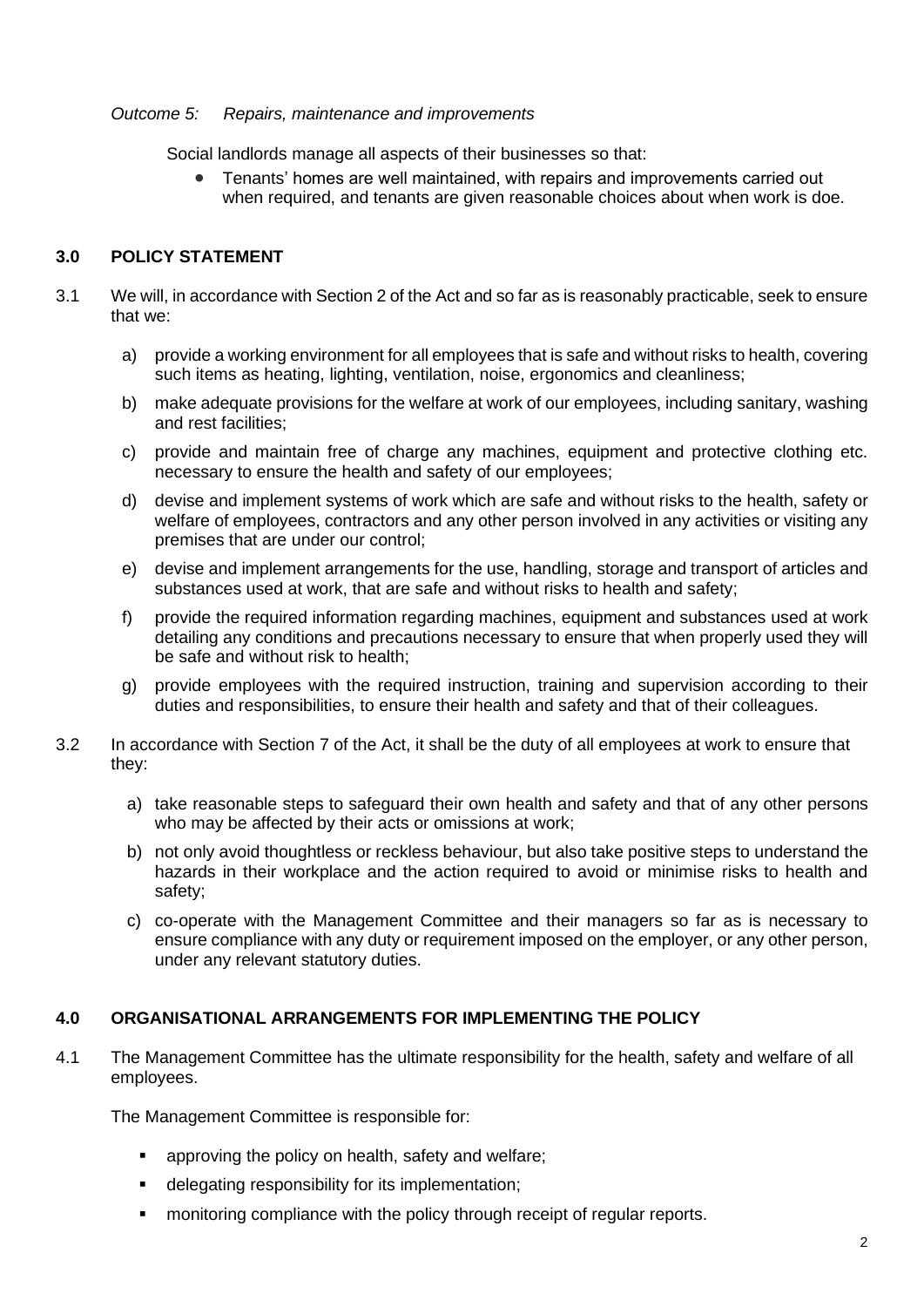## *Outcome 5: Repairs, maintenance and improvements*

Social landlords manage all aspects of their businesses so that:

• Tenants' homes are well maintained, with repairs and improvements carried out when required, and tenants are given reasonable choices about when work is doe.

## **3.0 POLICY STATEMENT**

- 3.1 We will, in accordance with Section 2 of the Act and so far as is reasonably practicable, seek to ensure that we:
	- a) provide a working environment for all employees that is safe and without risks to health, covering such items as heating, lighting, ventilation, noise, ergonomics and cleanliness;
	- b) make adequate provisions for the welfare at work of our employees, including sanitary, washing and rest facilities;
	- c) provide and maintain free of charge any machines, equipment and protective clothing etc. necessary to ensure the health and safety of our employees;
	- d) devise and implement systems of work which are safe and without risks to the health, safety or welfare of employees, contractors and any other person involved in any activities or visiting any premises that are under our control;
	- e) devise and implement arrangements for the use, handling, storage and transport of articles and substances used at work, that are safe and without risks to health and safety;
	- f) provide the required information regarding machines, equipment and substances used at work detailing any conditions and precautions necessary to ensure that when properly used they will be safe and without risk to health;
	- g) provide employees with the required instruction, training and supervision according to their duties and responsibilities, to ensure their health and safety and that of their colleagues.
- 3.2 In accordance with Section 7 of the Act, it shall be the duty of all employees at work to ensure that they:
	- a) take reasonable steps to safeguard their own health and safety and that of any other persons who may be affected by their acts or omissions at work;
	- b) not only avoid thoughtless or reckless behaviour, but also take positive steps to understand the hazards in their workplace and the action required to avoid or minimise risks to health and safety;
	- c) co-operate with the Management Committee and their managers so far as is necessary to ensure compliance with any duty or requirement imposed on the employer, or any other person, under any relevant statutory duties.

## **4.0 ORGANISATIONAL ARRANGEMENTS FOR IMPLEMENTING THE POLICY**

4.1 The Management Committee has the ultimate responsibility for the health, safety and welfare of all employees.

The Management Committee is responsible for:

- approving the policy on health, safety and welfare;
- delegating responsibility for its implementation;
- monitoring compliance with the policy through receipt of regular reports.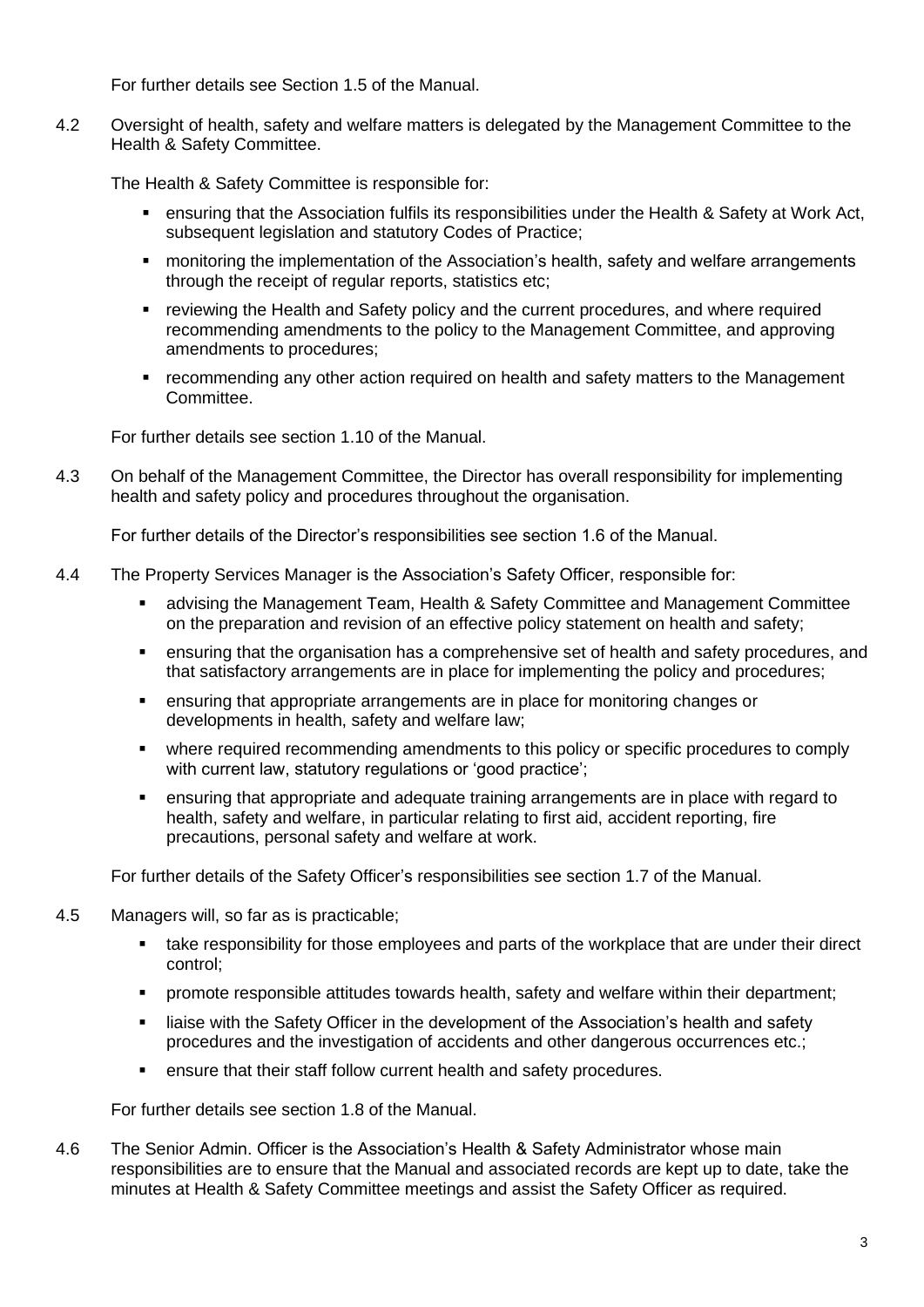For further details see Section 1.5 of the Manual.

4.2 Oversight of health, safety and welfare matters is delegated by the Management Committee to the Health & Safety Committee.

The Health & Safety Committee is responsible for:

- ensuring that the Association fulfils its responsibilities under the Health & Safety at Work Act, subsequent legislation and statutory Codes of Practice;
- monitoring the implementation of the Association's health, safety and welfare arrangements through the receipt of regular reports, statistics etc;
- reviewing the Health and Safety policy and the current procedures, and where required recommending amendments to the policy to the Management Committee, and approving amendments to procedures;
- recommending any other action required on health and safety matters to the Management Committee.

For further details see section 1.10 of the Manual.

4.3 On behalf of the Management Committee, the Director has overall responsibility for implementing health and safety policy and procedures throughout the organisation.

For further details of the Director's responsibilities see section 1.6 of the Manual.

- 4.4 The Property Services Manager is the Association's Safety Officer, responsible for:
	- advising the Management Team, Health & Safety Committee and Management Committee on the preparation and revision of an effective policy statement on health and safety;
	- **•** ensuring that the organisation has a comprehensive set of health and safety procedures, and that satisfactory arrangements are in place for implementing the policy and procedures;
	- ensuring that appropriate arrangements are in place for monitoring changes or developments in health, safety and welfare law;
	- where required recommending amendments to this policy or specific procedures to comply with current law, statutory regulations or 'good practice';
	- ensuring that appropriate and adequate training arrangements are in place with regard to health, safety and welfare, in particular relating to first aid, accident reporting, fire precautions, personal safety and welfare at work.

For further details of the Safety Officer's responsibilities see section 1.7 of the Manual.

- 4.5 Managers will, so far as is practicable;
	- **take responsibility for those employees and parts of the workplace that are under their direct** control;
	- promote responsible attitudes towards health, safety and welfare within their department;
	- liaise with the Safety Officer in the development of the Association's health and safety procedures and the investigation of accidents and other dangerous occurrences etc.;
	- ensure that their staff follow current health and safety procedures.

For further details see section 1.8 of the Manual.

4.6 The Senior Admin. Officer is the Association's Health & Safety Administrator whose main responsibilities are to ensure that the Manual and associated records are kept up to date, take the minutes at Health & Safety Committee meetings and assist the Safety Officer as required.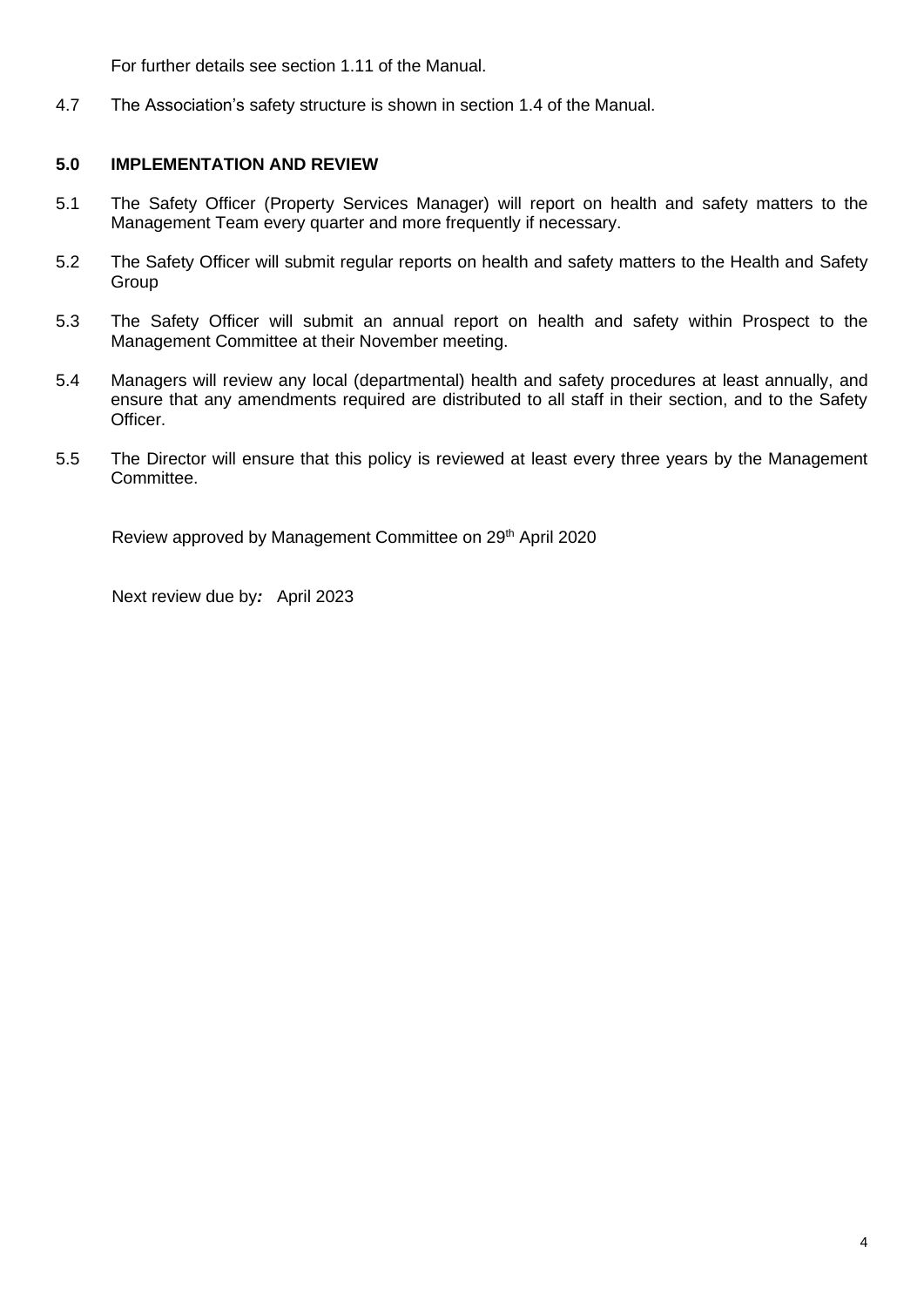For further details see section 1.11 of the Manual.

4.7 The Association's safety structure is shown in section 1.4 of the Manual.

# **5.0 IMPLEMENTATION AND REVIEW**

- 5.1 The Safety Officer (Property Services Manager) will report on health and safety matters to the Management Team every quarter and more frequently if necessary.
- 5.2 The Safety Officer will submit regular reports on health and safety matters to the Health and Safety Group
- 5.3 The Safety Officer will submit an annual report on health and safety within Prospect to the Management Committee at their November meeting.
- 5.4 Managers will review any local (departmental) health and safety procedures at least annually, and ensure that any amendments required are distributed to all staff in their section, and to the Safety Officer.
- 5.5 The Director will ensure that this policy is reviewed at least every three years by the Management Committee.

Review approved by Management Committee on 29<sup>th</sup> April 2020

Next review due by*:* April 2023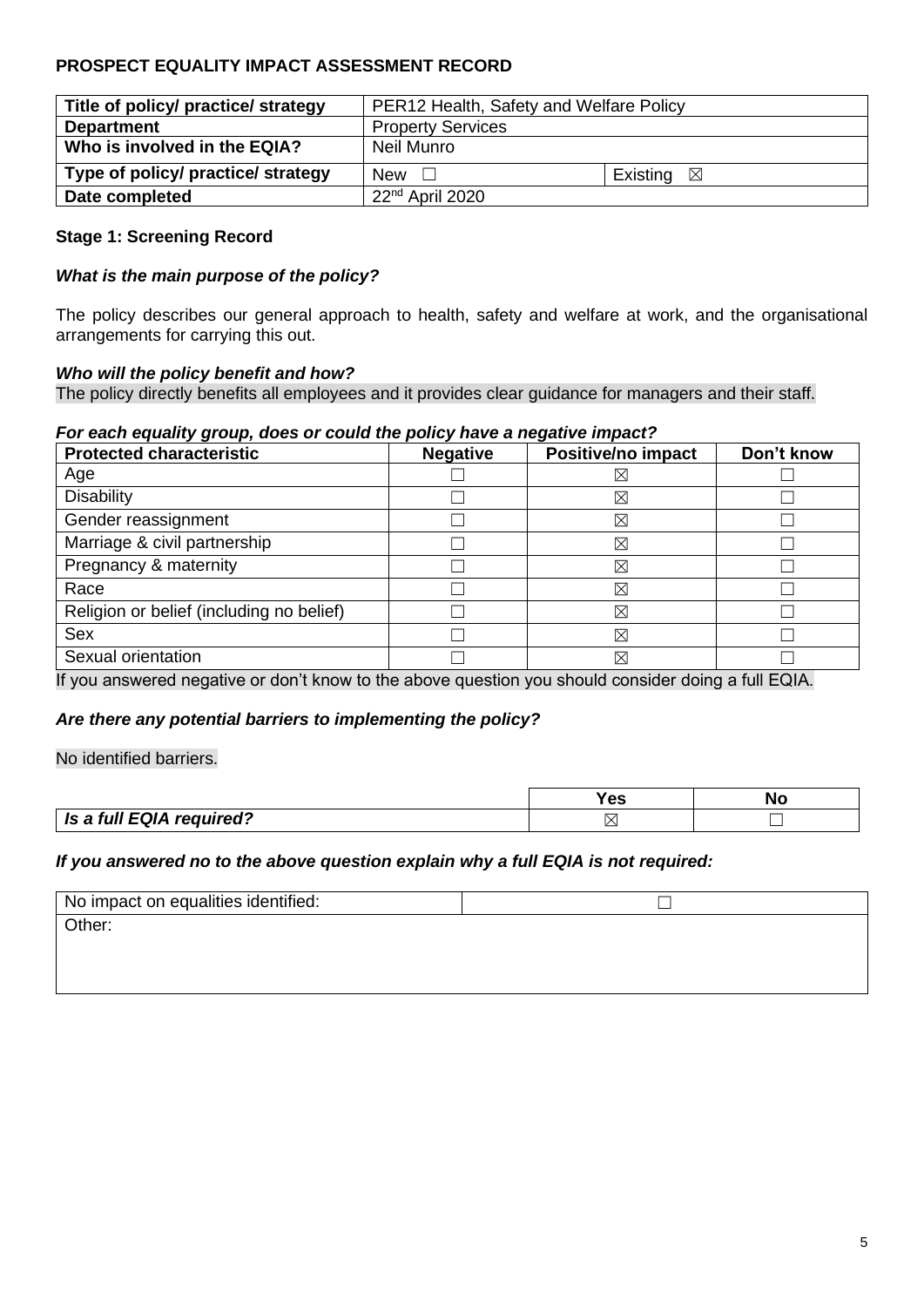# **PROSPECT EQUALITY IMPACT ASSESSMENT RECORD**

| Title of policy/ practice/ strategy | PER12 Health, Safety and Welfare Policy |                      |  |
|-------------------------------------|-----------------------------------------|----------------------|--|
| <b>Department</b>                   | <b>Property Services</b>                |                      |  |
| Who is involved in the EQIA?        | Neil Munro                              |                      |  |
| Type of policy/ practice/ strategy  | New $\Box$                              | Existing $\boxtimes$ |  |
| Date completed                      | 22 <sup>nd</sup> April 2020             |                      |  |

## **Stage 1: Screening Record**

## *What is the main purpose of the policy?*

The policy describes our general approach to health, safety and welfare at work, and the organisational arrangements for carrying this out.

## *Who will the policy benefit and how?*

The policy directly benefits all employees and it provides clear guidance for managers and their staff.

## *For each equality group, does or could the policy have a negative impact?*

| <b>Protected characteristic</b>          | <b>Negative</b> | <b>Positive/no impact</b> | Don't know |
|------------------------------------------|-----------------|---------------------------|------------|
| Age                                      |                 | $\times$                  |            |
| <b>Disability</b>                        |                 | ⊠                         |            |
| Gender reassignment                      |                 | ⊠                         |            |
| Marriage & civil partnership             |                 | ⊠                         |            |
| Pregnancy & maternity                    |                 | ⊠                         |            |
| Race                                     |                 | ⊠                         |            |
| Religion or belief (including no belief) |                 | $\boxtimes$               |            |
| <b>Sex</b>                               |                 | ⊠                         |            |
| Sexual orientation                       |                 | ⊠                         |            |

If you answered negative or don't know to the above question you should consider doing a full EQIA.

## *Are there any potential barriers to implementing the policy?*

No identified barriers.

|                          | -- | Nc |
|--------------------------|----|----|
| Is a full EQIA required? | X  |    |

## *If you answered no to the above question explain why a full EQIA is not required:*

| No impact on equalities identified: |  |
|-------------------------------------|--|
| Other:                              |  |
|                                     |  |
|                                     |  |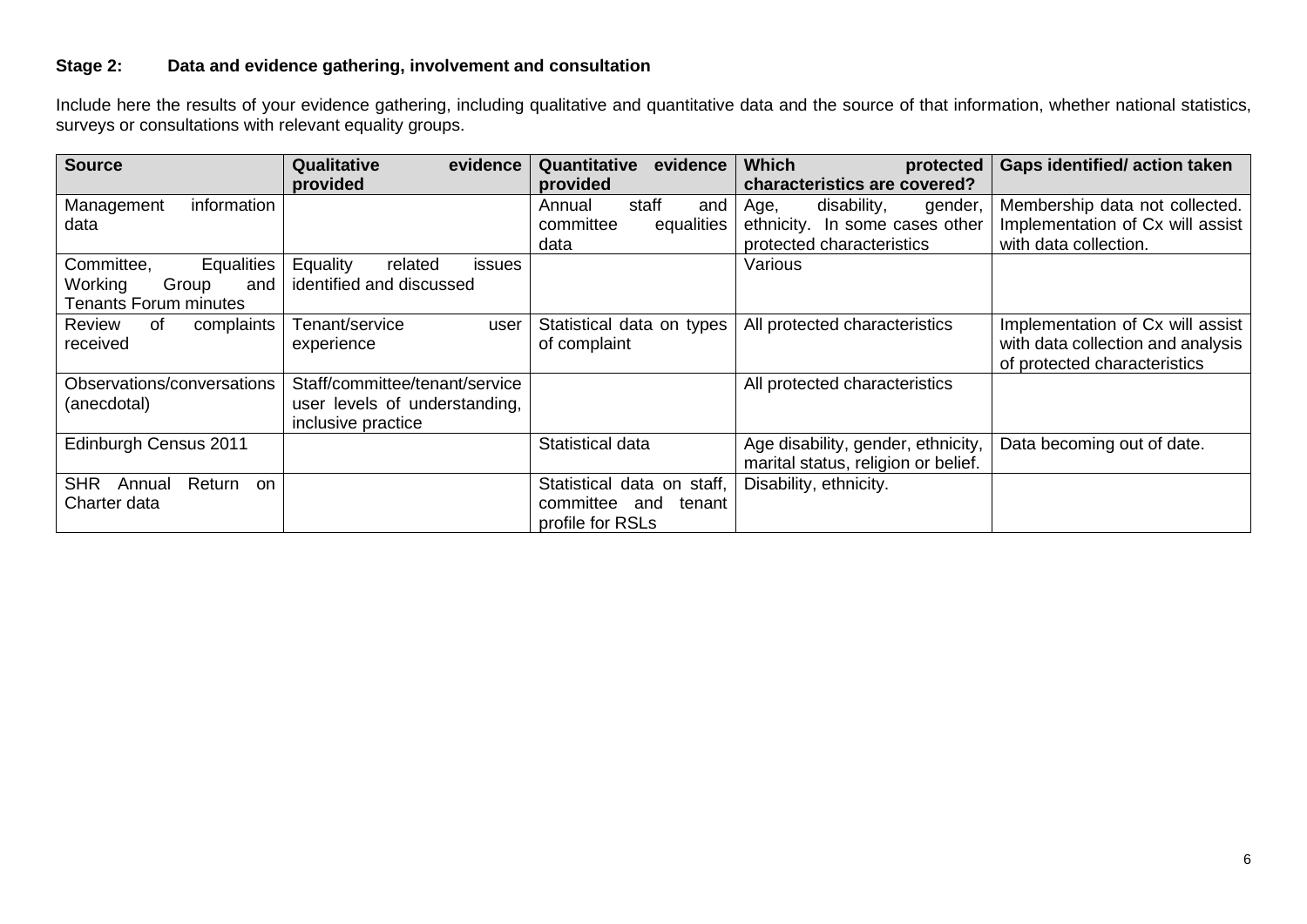# **Stage 2: Data and evidence gathering, involvement and consultation**

Include here the results of your evidence gathering, including qualitative and quantitative data and the source of that information, whether national statistics, surveys or consultations with relevant equality groups.

| <b>Source</b>                     | Qualitative<br>evidence              | evidence<br>Quantitative   | <b>Which</b><br>protected           | <b>Gaps identified/action taken</b> |
|-----------------------------------|--------------------------------------|----------------------------|-------------------------------------|-------------------------------------|
|                                   | provided                             | provided                   | characteristics are covered?        |                                     |
| information<br>Management         |                                      | staff<br>and<br>Annual     | disability,<br>gender,<br>Age,      | Membership data not collected.      |
| data                              |                                      | committee<br>equalities    | ethnicity. In some cases other      | Implementation of Cx will assist    |
|                                   |                                      | data                       | protected characteristics           | with data collection.               |
| Equalities<br>Committee,          | Equality<br>related<br><i>issues</i> |                            | Various                             |                                     |
| Working<br>Group<br>and           | identified and discussed             |                            |                                     |                                     |
| <b>Tenants Forum minutes</b>      |                                      |                            |                                     |                                     |
| complaints<br>Review<br>0f        | Tenant/service<br>user               | Statistical data on types  | All protected characteristics       | Implementation of Cx will assist    |
| received                          | experience                           | of complaint               |                                     | with data collection and analysis   |
|                                   |                                      |                            |                                     | of protected characteristics        |
| Observations/conversations        | Staff/committee/tenant/service       |                            | All protected characteristics       |                                     |
| (anecdotal)                       | user levels of understanding,        |                            |                                     |                                     |
|                                   | inclusive practice                   |                            |                                     |                                     |
| Edinburgh Census 2011             |                                      | Statistical data           | Age disability, gender, ethnicity,  | Data becoming out of date.          |
|                                   |                                      |                            | marital status, religion or belief. |                                     |
| <b>SHR</b><br>Return on<br>Annual |                                      | Statistical data on staff, | Disability, ethnicity.              |                                     |
| Charter data                      |                                      | committee<br>tenant<br>and |                                     |                                     |
|                                   |                                      | profile for RSLs           |                                     |                                     |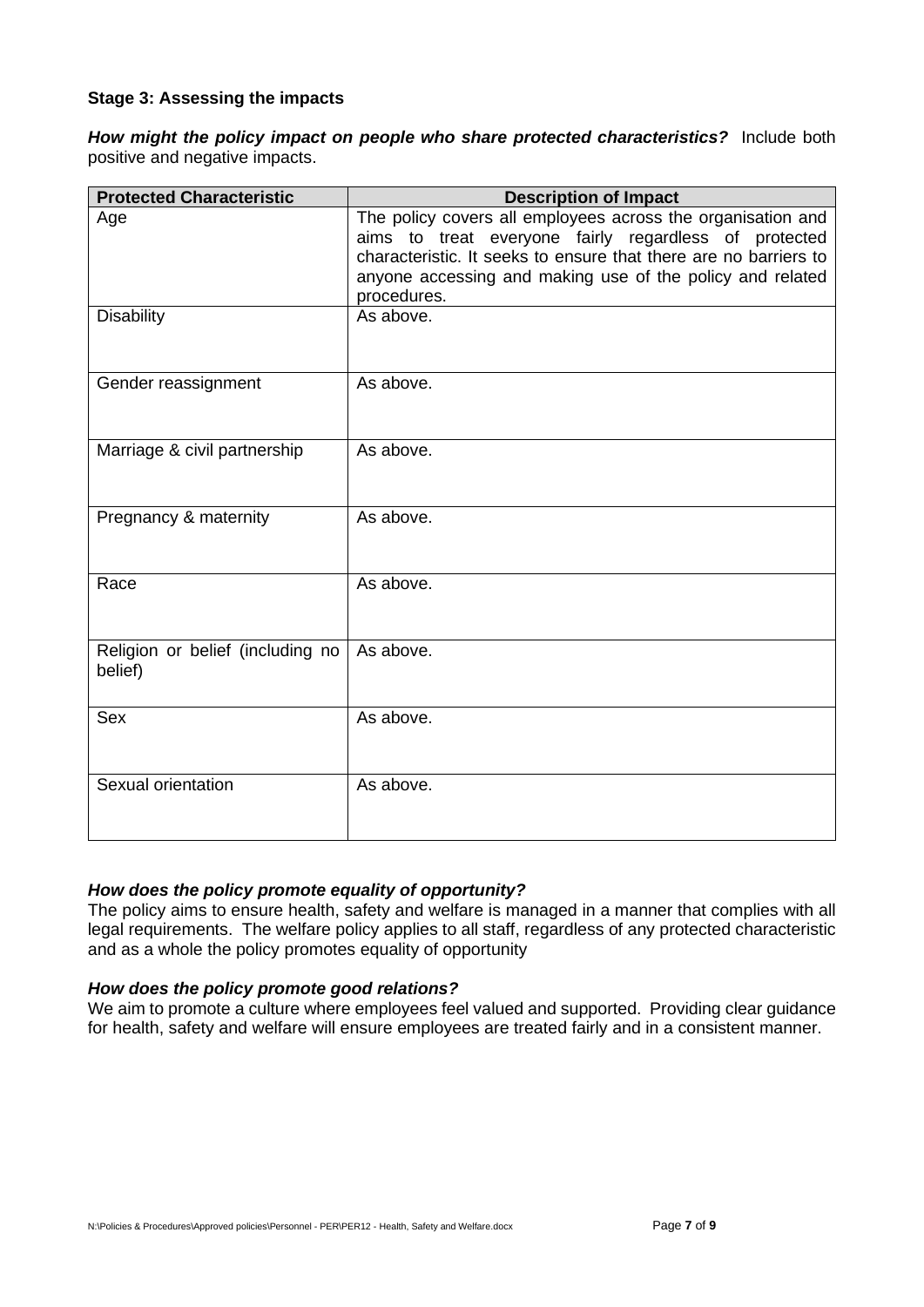#### **Stage 3: Assessing the impacts**

*How might the policy impact on people who share protected characteristics?*Include both positive and negative impacts.

| <b>Protected Characteristic</b>             | <b>Description of Impact</b>                                                                                                                                                                                                                                         |
|---------------------------------------------|----------------------------------------------------------------------------------------------------------------------------------------------------------------------------------------------------------------------------------------------------------------------|
| Age                                         | The policy covers all employees across the organisation and<br>aims to treat everyone fairly regardless of protected<br>characteristic. It seeks to ensure that there are no barriers to<br>anyone accessing and making use of the policy and related<br>procedures. |
| <b>Disability</b>                           | As above.                                                                                                                                                                                                                                                            |
| Gender reassignment                         | As above.                                                                                                                                                                                                                                                            |
| Marriage & civil partnership                | As above.                                                                                                                                                                                                                                                            |
| Pregnancy & maternity                       | As above.                                                                                                                                                                                                                                                            |
| Race                                        | As above.                                                                                                                                                                                                                                                            |
| Religion or belief (including no<br>belief) | As above.                                                                                                                                                                                                                                                            |
| Sex                                         | As above.                                                                                                                                                                                                                                                            |
| Sexual orientation                          | As above.                                                                                                                                                                                                                                                            |

#### *How does the policy promote equality of opportunity?*

The policy aims to ensure health, safety and welfare is managed in a manner that complies with all legal requirements. The welfare policy applies to all staff, regardless of any protected characteristic and as a whole the policy promotes equality of opportunity

#### *How does the policy promote good relations?*

We aim to promote a culture where employees feel valued and supported. Providing clear guidance for health, safety and welfare will ensure employees are treated fairly and in a consistent manner.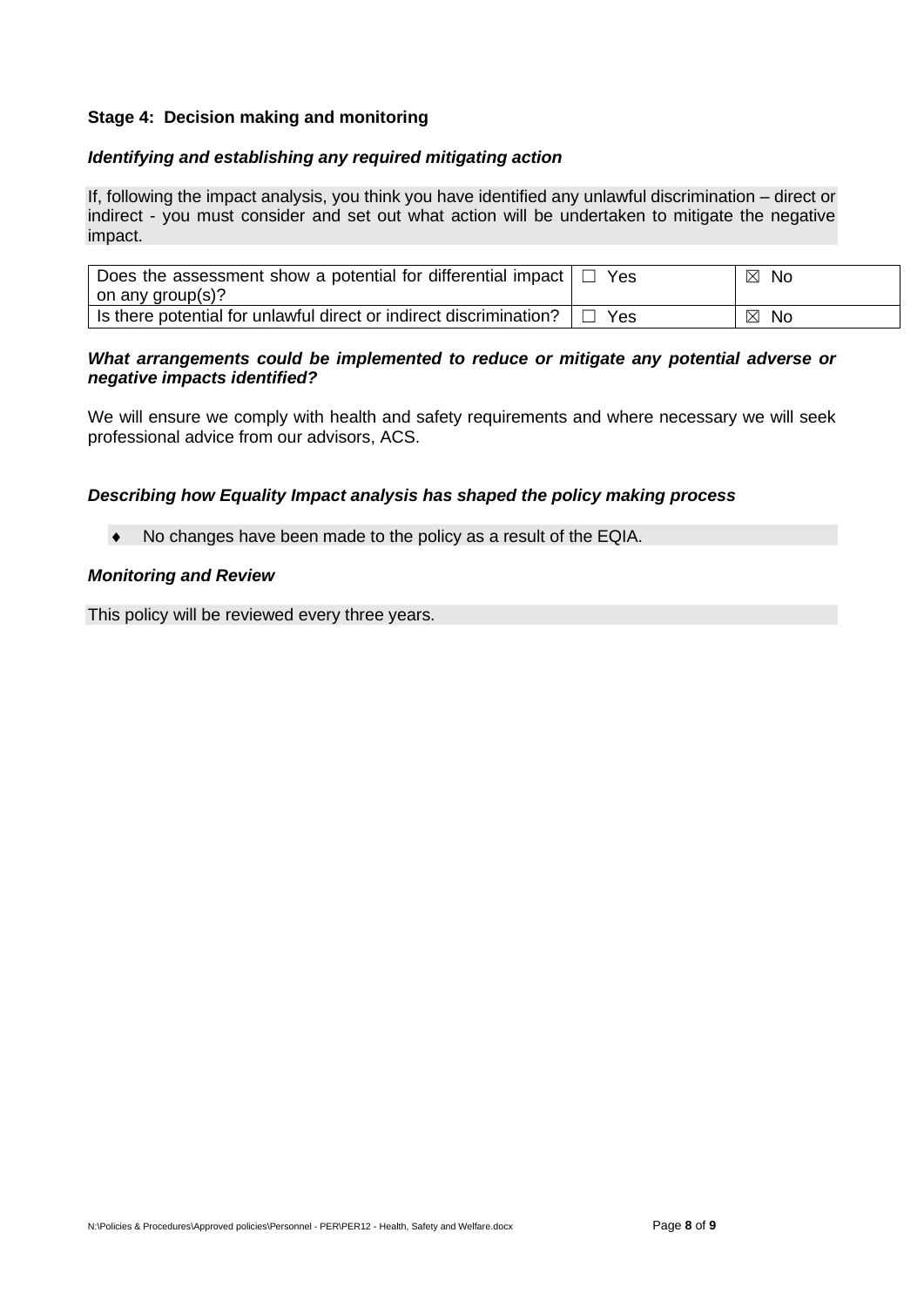## **Stage 4: Decision making and monitoring**

## *Identifying and establishing any required mitigating action*

If, following the impact analysis, you think you have identified any unlawful discrimination – direct or indirect - you must consider and set out what action will be undertaken to mitigate the negative impact.

| Does the assessment show a potential for differential impact<br>on any group(s)? | Yes. | ⊠<br><b>No</b> |
|----------------------------------------------------------------------------------|------|----------------|
| Is there potential for unlawful direct or indirect discrimination?               | Yes  | ⊠<br>No        |

#### *What arrangements could be implemented to reduce or mitigate any potential adverse or negative impacts identified?*

We will ensure we comply with health and safety requirements and where necessary we will seek professional advice from our advisors, ACS.

## *Describing how Equality Impact analysis has shaped the policy making process*

• No changes have been made to the policy as a result of the EQIA.

#### *Monitoring and Review*

This policy will be reviewed every three years.